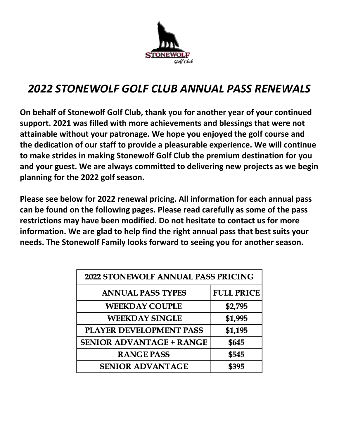

# *2022 STONEWOLF GOLF CLUB ANNUAL PASS RENEWALS*

**On behalf of Stonewolf Golf Club, thank you for another year of your continued support. 2021 was filled with more achievements and blessings that were not attainable without your patronage. We hope you enjoyed the golf course and the dedication of our staff to provide a pleasurable experience. We will continue to make strides in making Stonewolf Golf Club the premium destination for you and your guest. We are always committed to delivering new projects as we begin planning for the 2022 golf season.**

**Please see below for 2022 renewal pricing. All information for each annual pass can be found on the following pages. Please read carefully as some of the pass restrictions may have been modified. Do not hesitate to contact us for more information. We are glad to help find the right annual pass that best suits your needs. The Stonewolf Family looks forward to seeing you for another season.**

| 2022 STONEWOLF ANNUAL PASS PRICING |                   |  |  |  |
|------------------------------------|-------------------|--|--|--|
| <b>ANNUAL PASS TYPES</b>           | <b>FULL PRICE</b> |  |  |  |
| <b>WEEKDAY COUPLE</b>              | \$2,795           |  |  |  |
| <b>WEEKDAY SINGLE</b>              | \$1,995           |  |  |  |
| PLAYER DEVELOPMENT PASS            | \$1,195           |  |  |  |
| <b>SENIOR ADVANTAGE + RANGE</b>    | \$645             |  |  |  |
| <b>RANGE PASS</b>                  | \$545             |  |  |  |
| <b>SENIOR ADVANTAGE</b>            | \$395             |  |  |  |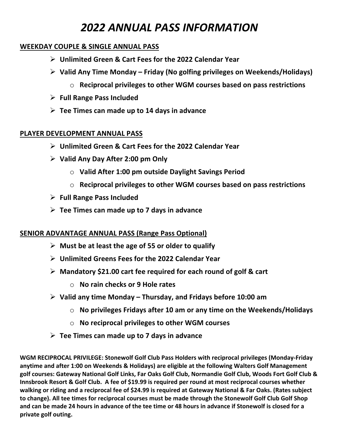## *2022 ANNUAL PASS INFORMATION*

#### **WEEKDAY COUPLE & SINGLE ANNUAL PASS**

- Ø **Unlimited Green & Cart Fees for the 2022 Calendar Year**
- Ø **Valid Any Time Monday – Friday (No golfing privileges on Weekends/Holidays)**
	- o **Reciprocal privileges to other WGM courses based on pass restrictions**
- Ø **Full Range Pass Included**
- Ø **Tee Times can made up to 14 days in advance**

#### **PLAYER DEVELOPMENT ANNUAL PASS**

- Ø **Unlimited Green & Cart Fees for the 2022 Calendar Year**
- Ø **Valid Any Day After 2:00 pm Only**
	- o **Valid After 1:00 pm outside Daylight Savings Period**
	- o **Reciprocal privileges to other WGM courses based on pass restrictions**
- Ø **Full Range Pass Included**
- Ø **Tee Times can made up to 7 days in advance**

#### **SENIOR ADVANTAGE ANNUAL PASS (Range Pass Optional)**

- Ø **Must be at least the age of 55 or older to qualify**
- Ø **Unlimited Greens Fees for the 2022 Calendar Year**
- Ø **Mandatory \$21.00 cart fee required for each round of golf & cart**
	- o **No rain checks or 9 Hole rates**
- Ø **Valid any time Monday – Thursday, and Fridays before 10:00 am**
	- o **No privileges Fridays after 10 am or any time on the Weekends/Holidays**
	- o **No reciprocal privileges to other WGM courses**
- Ø **Tee Times can made up to 7 days in advance**

**WGM RECIPROCAL PRIVILEGE: Stonewolf Golf Club Pass Holders with reciprocal privileges (Monday-Friday anytime and after 1:00 on Weekends & Holidays) are eligible at the following Walters Golf Management golf courses: Gateway National Golf Links, Far Oaks Golf Club, Normandie Golf Club, Woods Fort Golf Club & Innsbrook Resort & Golf Club. A fee of \$19.99 is required per round at most reciprocal courses whether walking or riding and a reciprocal fee of \$24.99 is required at Gateway National & Far Oaks. (Rates subject to change). All tee times for reciprocal courses must be made through the Stonewolf Golf Club Golf Shop and can be made 24 hours in advance of the tee time or 48 hours in advance if Stonewolf is closed for a private golf outing.**